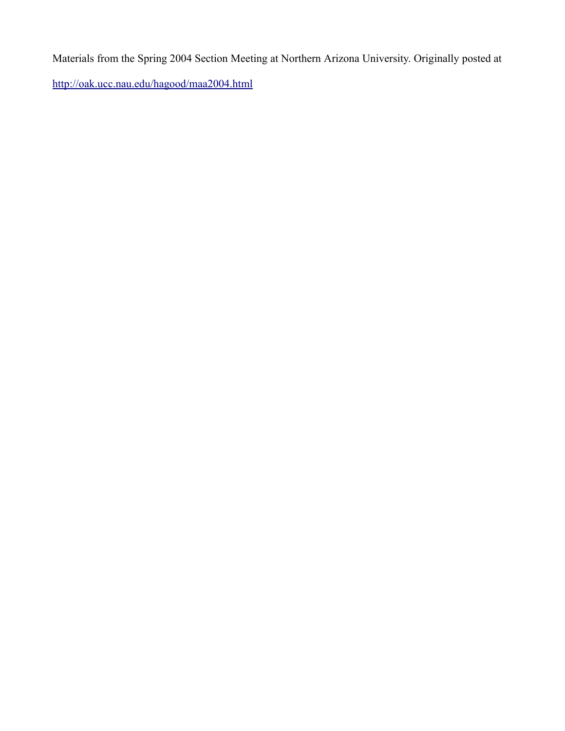Materials from the Spring 2004 Section Meeting at Northern Arizona University. Originally posted at

<http://oak.ucc.nau.edu/hagood/maa2004.html>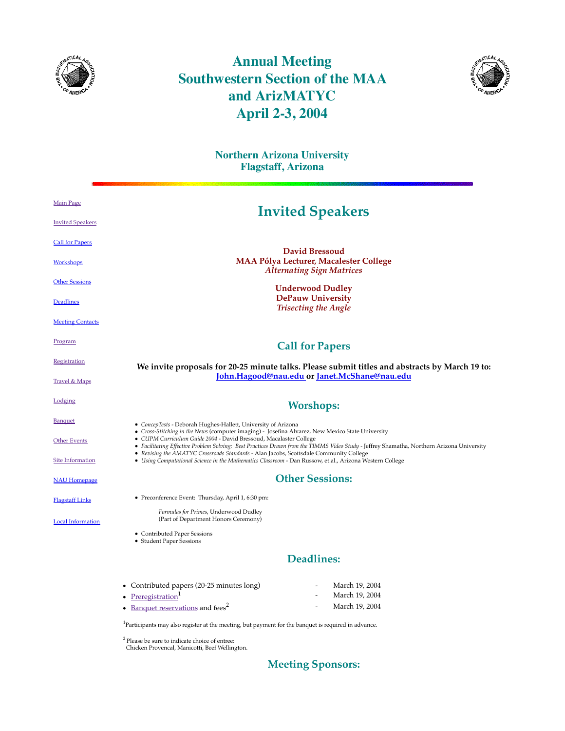

## **Annual Meeting Southwestern Section of the MAA and ArizMATYC April 2-3, 2004**



|                          | <b>Northern Arizona University</b><br><b>Flagstaff, Arizona</b>                                                                                                                                                |  |  |
|--------------------------|----------------------------------------------------------------------------------------------------------------------------------------------------------------------------------------------------------------|--|--|
| <b>Main Page</b>         | <b>Invited Speakers</b>                                                                                                                                                                                        |  |  |
| <b>Invited Speakers</b>  |                                                                                                                                                                                                                |  |  |
| <b>Call for Papers</b>   |                                                                                                                                                                                                                |  |  |
| Workshops                | <b>David Bressoud</b><br>MAA Pólya Lecturer, Macalester College<br><b>Alternating Sign Matrices</b>                                                                                                            |  |  |
| <b>Other Sessions</b>    | <b>Underwood Dudley</b>                                                                                                                                                                                        |  |  |
| Deadlines                | <b>DePauw University</b><br><b>Trisecting the Angle</b>                                                                                                                                                        |  |  |
| <b>Meeting Contacts</b>  |                                                                                                                                                                                                                |  |  |
| Program                  | <b>Call for Papers</b>                                                                                                                                                                                         |  |  |
| <b>Registration</b>      | We invite proposals for 20-25 minute talks. Please submit titles and abstracts by March 19 to:                                                                                                                 |  |  |
| <b>Travel &amp; Maps</b> | John.Hagood@nau.edu or Janet.McShane@nau.edu                                                                                                                                                                   |  |  |
| Lodging                  | <b>Worshops:</b>                                                                                                                                                                                               |  |  |
| <b>Banquet</b>           | • ConcepTests - Deborah Hughes-Hallett, University of Arizona<br>• Cross-Stitching in the News (computer imaging) - Josefina Alvarez, New Mexico State University                                              |  |  |
| <b>Other Events</b>      | · CUPM Curriculum Guide 2004 - David Bressoud, Macalaster College<br>• Facilitating Effective Problem Solving: Best Practices Drawn from the TIMMS Video Study - Jeffrey Shamatha, Northern Arizona University |  |  |
| <b>Site Information</b>  | • Revising the AMATYC Crossroads Standards - Alan Jacobs, Scottsdale Community College<br>• Using Computational Science in the Mathematics Classroom - Dan Russow, et.al., Arizona Western College             |  |  |
| <b>NAU Homepage</b>      | <b>Other Sessions:</b>                                                                                                                                                                                         |  |  |
| <b>Flagstaff Links</b>   | • Preconference Event: Thursday, April 1, 6:30 pm:                                                                                                                                                             |  |  |
| <b>Local Information</b> | Formulas for Primes, Underwood Dudley<br>(Part of Department Honors Ceremony)                                                                                                                                  |  |  |
|                          | • Contributed Paper Sessions<br>• Student Paper Sessions                                                                                                                                                       |  |  |
|                          | <b>Deadlines:</b>                                                                                                                                                                                              |  |  |
|                          | • Contributed papers (20-25 minutes long)<br>March 19, 2004                                                                                                                                                    |  |  |
|                          | Preregistration <sup>1</sup><br>March 19, 2004<br>March 19, 2004<br>• Banquet reservations and fees <sup>2</sup>                                                                                               |  |  |

<sup>1</sup>Participants may also register at the meeting, but payment for the banquet is required in advance.

 $2^2$  Please be sure to indicate choice of entree:<br>Chicken Provencal, Manicotti, Beef Wellington.

## **Meeting Sponsors:**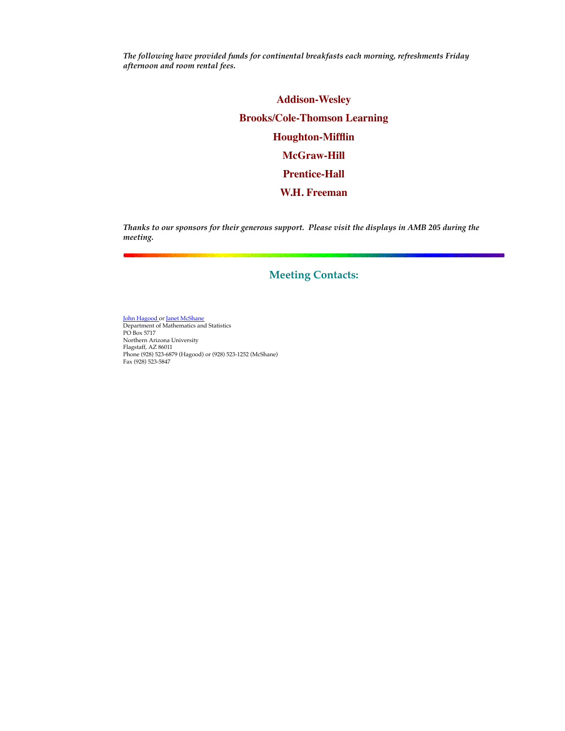*The following have provided funds for continental breakfasts each morning, refreshments Friday afternoon and room rental fees.*

> **Addison-Wesley Brooks/Cole-Thomson Learning Houghton-Mifflin McGraw-Hill Prentice-Hall W.H. Freeman**

*Thanks to our sponsors for their generous support. Please visit the displays in AMB 205 during the meeting.*

### **Meeting Contacts:**

<mark>John Hagood or <u>Janet McShane</u><br>Department of Mathematics and Statistics</mark> PO Box 5717 Northern Arizona University Flagstaff, AZ 86011 Phone (928) 523-6879 (Hagood) or (928) 523-1252 (McShane) Fax (928) 523-5847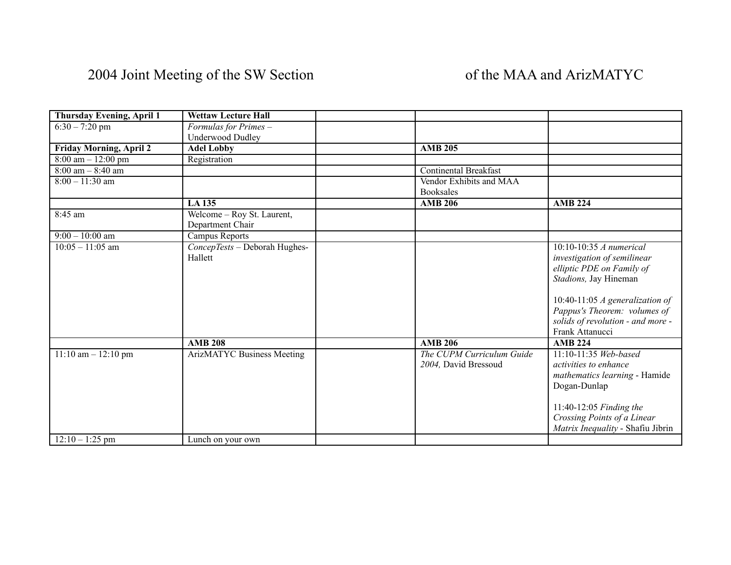| Thursday Evening, April 1 | <b>Wettaw Lecture Hall</b>        |                              |                                     |
|---------------------------|-----------------------------------|------------------------------|-------------------------------------|
| $6:30 - 7:20$ pm          | Formulas for Primes -             |                              |                                     |
|                           | <b>Underwood Dudley</b>           |                              |                                     |
| Friday Morning, April 2   | <b>Adel Lobby</b>                 | <b>AMB 205</b>               |                                     |
| $8:00$ am $-12:00$ pm     | Registration                      |                              |                                     |
| $8:00$ am $-8:40$ am      |                                   | <b>Continental Breakfast</b> |                                     |
| $8:00 - 11:30$ am         |                                   | Vendor Exhibits and MAA      |                                     |
|                           |                                   | <b>Booksales</b>             |                                     |
|                           | <b>LA135</b>                      | <b>AMB 206</b>               | <b>AMB 224</b>                      |
| 8:45 am                   | Welcome - Roy St. Laurent,        |                              |                                     |
|                           | Department Chair                  |                              |                                     |
| $9:00 - 10:00$ am         | Campus Reports                    |                              |                                     |
| $10:05 - 11:05$ am        | ConcepTests - Deborah Hughes-     |                              | $10:10-10:35$ A numerical           |
|                           | Hallett                           |                              | investigation of semilinear         |
|                           |                                   |                              | elliptic PDE on Family of           |
|                           |                                   |                              | Stadions, Jay Hineman               |
|                           |                                   |                              |                                     |
|                           |                                   |                              | 10:40-11:05 $\AA$ generalization of |
|                           |                                   |                              | Pappus's Theorem: volumes of        |
|                           |                                   |                              | solids of revolution - and more -   |
|                           |                                   |                              | Frank Attanucci                     |
|                           | <b>AMB 208</b>                    | <b>AMB 206</b>               | <b>AMB 224</b>                      |
| $11:10$ am $-12:10$ pm    | <b>ArizMATYC Business Meeting</b> | The CUPM Curriculum Guide    | $11:10-11:35$ Web-based             |
|                           |                                   | 2004, David Bressoud         | activities to enhance               |
|                           |                                   |                              | mathematics learning - Hamide       |
|                           |                                   |                              | Dogan-Dunlap                        |
|                           |                                   |                              |                                     |
|                           |                                   |                              | 11:40-12:05 Finding the             |
|                           |                                   |                              |                                     |
|                           |                                   |                              | Crossing Points of a Linear         |
|                           |                                   |                              | Matrix Inequality - Shafiu Jibrin   |
| $12:10 - 1:25$ pm         | Lunch on your own                 |                              |                                     |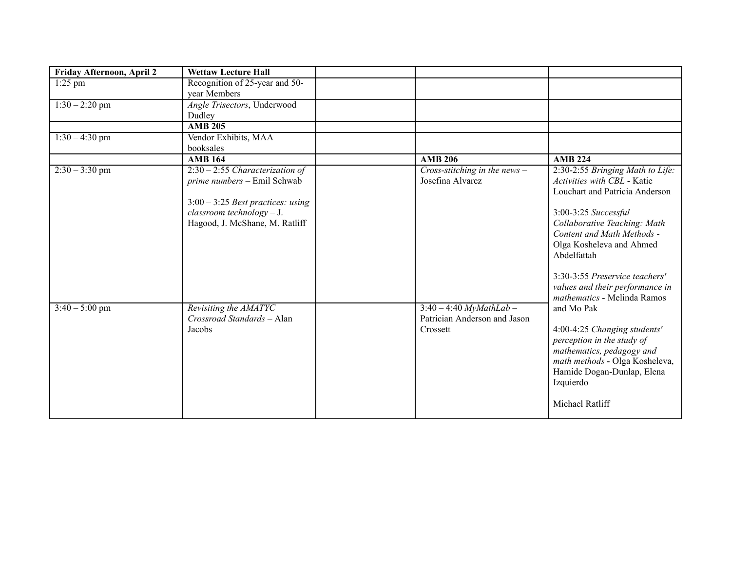| Friday Afternoon, April 2 | <b>Wettaw Lecture Hall</b>          |                                 |                                  |
|---------------------------|-------------------------------------|---------------------------------|----------------------------------|
| $1:25$ pm                 | Recognition of 25-year and 50-      |                                 |                                  |
|                           | vear Members                        |                                 |                                  |
| $1:30 - 2:20$ pm          | Angle Trisectors, Underwood         |                                 |                                  |
|                           | Dudley                              |                                 |                                  |
|                           | <b>AMB 205</b>                      |                                 |                                  |
| $1:30 - 4:30$ pm          | Vendor Exhibits, MAA                |                                 |                                  |
|                           | booksales                           |                                 |                                  |
|                           | <b>AMB 164</b>                      | <b>AMB 206</b>                  | <b>AMB 224</b>                   |
| $2:30 - 3:30$ pm          | $2:30 - 2:55$ Characterization of   | Cross-stitching in the news $-$ | 2:30-2:55 Bringing Math to Life: |
|                           | prime numbers - Emil Schwab         | Josefina Alvarez                | Activities with CBL - Katie      |
|                           |                                     |                                 | Louchart and Patricia Anderson   |
|                           | $3:00 - 3:25$ Best practices: using |                                 |                                  |
|                           | $classroom$ technology - J.         |                                 | 3:00-3:25 Successful             |
|                           | Hagood, J. McShane, M. Ratliff      |                                 | Collaborative Teaching: Math     |
|                           |                                     |                                 | Content and Math Methods -       |
|                           |                                     |                                 | Olga Kosheleva and Ahmed         |
|                           |                                     |                                 | Abdelfattah                      |
|                           |                                     |                                 |                                  |
|                           |                                     |                                 | 3:30-3:55 Preservice teachers'   |
|                           |                                     |                                 | values and their performance in  |
|                           |                                     |                                 | mathematics - Melinda Ramos      |
| $3:40 - 5:00$ pm          | Revisiting the AMATYC               | $3:40 - 4:40$ MyMathLab -       | and Mo Pak                       |
|                           | Crossroad Standards - Alan          | Patrician Anderson and Jason    |                                  |
|                           | Jacobs                              | Crossett                        | 4:00-4:25 Changing students'     |
|                           |                                     |                                 | perception in the study of       |
|                           |                                     |                                 | mathematics, pedagogy and        |
|                           |                                     |                                 | math methods - Olga Kosheleva,   |
|                           |                                     |                                 | Hamide Dogan-Dunlap, Elena       |
|                           |                                     |                                 | Izquierdo                        |
|                           |                                     |                                 |                                  |
|                           |                                     |                                 | Michael Ratliff                  |
|                           |                                     |                                 |                                  |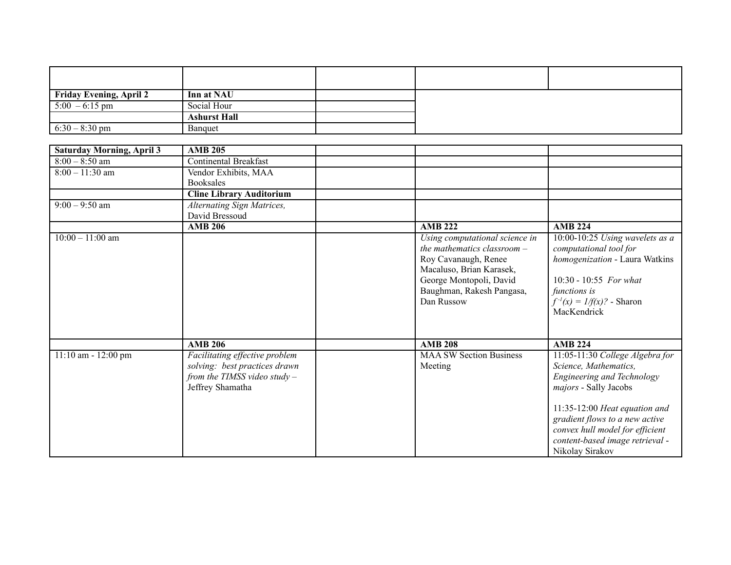| Friday Evening, April 2          | Inn at NAU                                                                                                            |                                                                                                                                                                                         |                                                                                                                                                                                           |
|----------------------------------|-----------------------------------------------------------------------------------------------------------------------|-----------------------------------------------------------------------------------------------------------------------------------------------------------------------------------------|-------------------------------------------------------------------------------------------------------------------------------------------------------------------------------------------|
| $5:00 - 6:15$ pm                 | Social Hour                                                                                                           |                                                                                                                                                                                         |                                                                                                                                                                                           |
|                                  | <b>Ashurst Hall</b>                                                                                                   |                                                                                                                                                                                         |                                                                                                                                                                                           |
| $6:30 - 8:30$ pm                 | Banquet                                                                                                               |                                                                                                                                                                                         |                                                                                                                                                                                           |
|                                  |                                                                                                                       |                                                                                                                                                                                         |                                                                                                                                                                                           |
| <b>Saturday Morning, April 3</b> | <b>AMB 205</b>                                                                                                        |                                                                                                                                                                                         |                                                                                                                                                                                           |
| $8:00 - 8:50$ am                 | <b>Continental Breakfast</b>                                                                                          |                                                                                                                                                                                         |                                                                                                                                                                                           |
| $8:00 - 11:30$ am                | Vendor Exhibits, MAA                                                                                                  |                                                                                                                                                                                         |                                                                                                                                                                                           |
|                                  | <b>Booksales</b>                                                                                                      |                                                                                                                                                                                         |                                                                                                                                                                                           |
|                                  | <b>Cline Library Auditorium</b>                                                                                       |                                                                                                                                                                                         |                                                                                                                                                                                           |
| $9:00 - 9:50$ am                 | <b>Alternating Sign Matrices,</b>                                                                                     |                                                                                                                                                                                         |                                                                                                                                                                                           |
|                                  | David Bressoud                                                                                                        |                                                                                                                                                                                         |                                                                                                                                                                                           |
|                                  | <b>AMB 206</b>                                                                                                        | <b>AMB 222</b>                                                                                                                                                                          | <b>AMB 224</b>                                                                                                                                                                            |
| $10:00 - 11:00$ am               |                                                                                                                       | Using computational science in<br>the mathematics classroom -<br>Roy Cavanaugh, Renee<br>Macaluso, Brian Karasek,<br>George Montopoli, David<br>Baughman, Rakesh Pangasa,<br>Dan Russow | 10:00-10:25 Using wavelets as a<br>computational tool for<br>homogenization - Laura Watkins<br>$10:30 - 10:55$ For what<br>functions is<br>$f^{-1}(x) = 1/f(x)$ ? - Sharon<br>MacKendrick |
|                                  | <b>AMB 206</b>                                                                                                        | <b>AMB 208</b>                                                                                                                                                                          | <b>AMB 224</b>                                                                                                                                                                            |
| 11:10 am - 12:00 pm              | Facilitating effective problem<br>solving: best practices drawn<br>from the TIMSS video study $-$<br>Jeffrey Shamatha | <b>MAA SW Section Business</b><br>Meeting                                                                                                                                               | 11:05-11:30 College Algebra for<br>Science, Mathematics,<br>Engineering and Technology<br>majors - Sally Jacobs<br>11:35-12:00 Heat equation and<br>gradient flows to a new active        |
|                                  |                                                                                                                       |                                                                                                                                                                                         | convex hull model for efficient<br>content-based image retrieval -<br>Nikolay Sirakov                                                                                                     |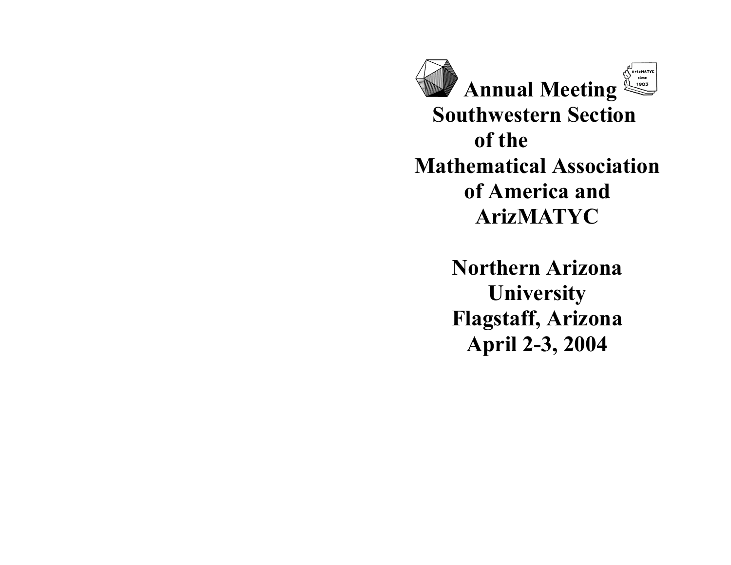ArizMATYC **Annual Meeting Southwestern Section of the Mathematical Association of America and ArizMATYC**

> **Northern Arizona University Flagstaff, Arizona April 2-3, 2004**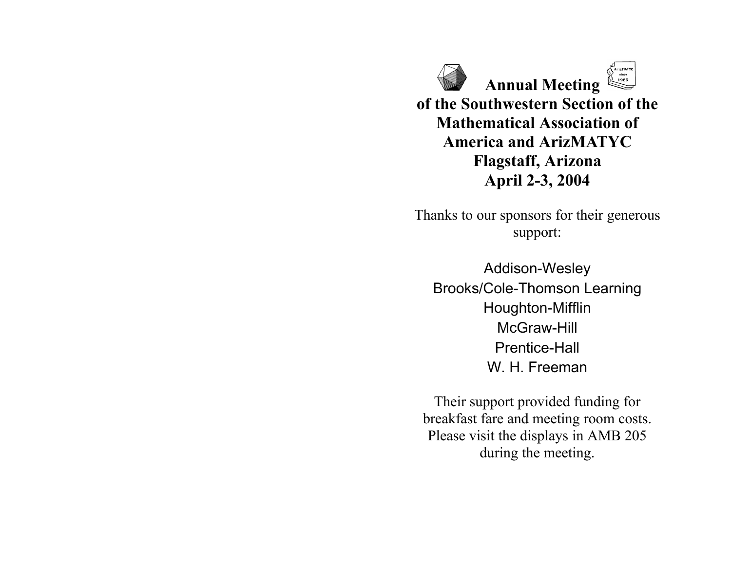**Annual Meeting of the Southwestern Section of the Mathematical Association of America and ArizMATYC Flagstaff, Arizona April 2-3, 2004**

Thanks to our sponsors for their generous support:

Addison-Wesley Brooks/Cole-Thomson Learning Houghton-Mifflin McGraw-Hill Prentice-Hall W. H. Freeman

Their support provided funding for breakfast fare and meeting room costs. Please visit the displays in AMB 205 during the meeting.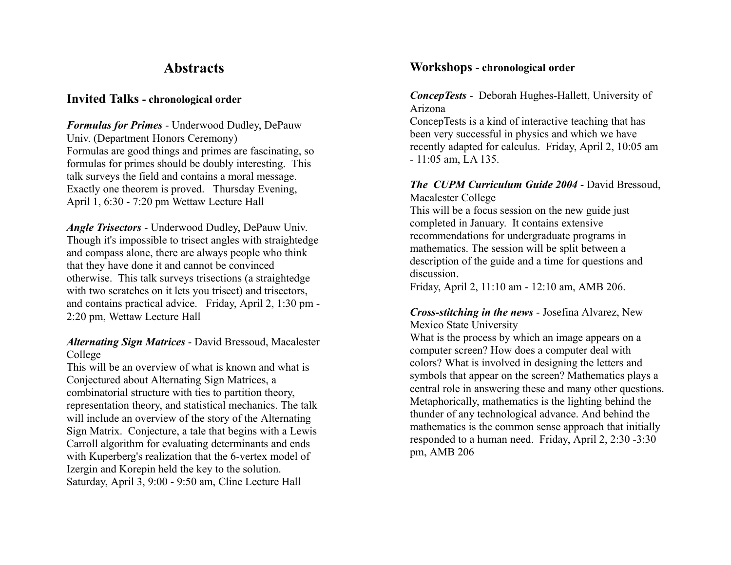## **Abstracts**

### **Invited Talks - chronological order**

*Formulas for Primes* - Underwood Dudley, DePauw Univ. (Department Honors Ceremony) Formulas are good things and primes are fascinating, so formulas for primes should be doubly interesting. This talk surveys the field and contains a moral message. Exactly one theorem is proved. Thursday Evening, April 1, 6:30 - 7:20 pm Wettaw Lecture Hall

*Angle Trisectors* - Underwood Dudley, DePauw Univ. Though it's impossible to trisect angles with straightedge and compass alone, there are always people who think that they have done it and cannot be convinced otherwise. This talk surveys trisections (a straightedge with two scratches on it lets you trisect) and trisectors, and contains practical advice. Friday, April 2, 1:30 pm - 2:20 pm, Wettaw Lecture Hall

### *Alternating Sign Matrices* - David Bressoud, Macalester College

This will be an overview of what is known and what is Conjectured about Alternating Sign Matrices, a combinatorial structure with ties to partition theory, representation theory, and statistical mechanics. The talk will include an overview of the story of the Alternating Sign Matrix. Conjecture, a tale that begins with a Lewis Carroll algorithm for evaluating determinants and ends with Kuperberg's realization that the 6-vertex model of Izergin and Korepin held the key to the solution. Saturday, April 3, 9:00 - 9:50 am, Cline Lecture Hall

### **Workshops - chronological order**

#### *ConcepTests* - Deborah Hughes-Hallett, University of Arizona

ConcepTests is a kind of interactive teaching that has been very successful in physics and which we have recently adapted for calculus. Friday, April 2, 10:05 am - 11:05 am, LA 135.

### *The CUPM Curriculum Guide 2004* - David Bressoud, Macalester College

This will be a focus session on the new guide just completed in January. It contains extensive recommendations for undergraduate programs in mathematics. The session will be split between a description of the guide and a time for questions and discussion.

Friday, April 2, 11:10 am - 12:10 am, AMB 206.

### *Cross-stitching in the news* - Josefina Alvarez, New Mexico State University

What is the process by which an image appears on a computer screen? How does a computer deal with colors? What is involved in designing the letters and symbols that appear on the screen? Mathematics plays a central role in answering these and many other questions. Metaphorically, mathematics is the lighting behind the thunder of any technological advance. And behind the mathematics is the common sense approach that initially responded to a human need. Friday, April 2, 2:30 -3:30 pm, AMB 206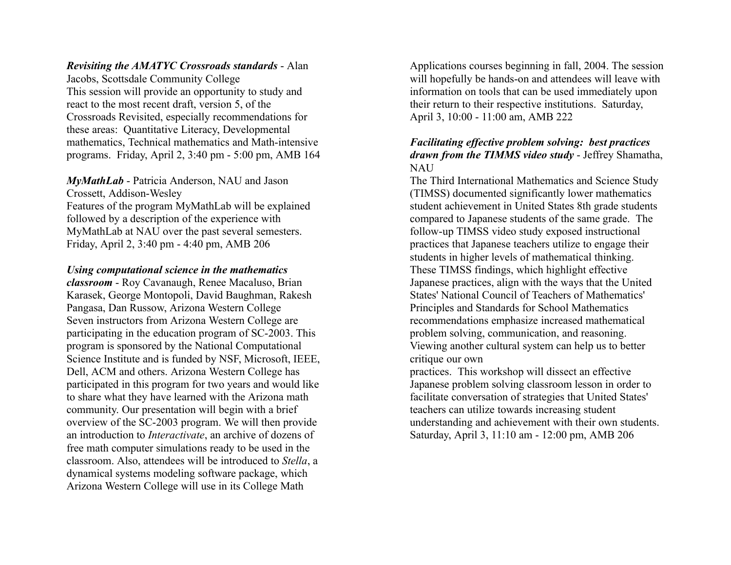*Revisiting the AMATYC Crossroads standards* - Alan

Jacobs, Scottsdale Community College This session will provide an opportunity to study and react to the most recent draft, version 5, of the Crossroads Revisited, especially recommendations for these areas: Quantitative Literacy, Developmental mathematics, Technical mathematics and Math-intensive programs. Friday, April 2, 3:40 pm - 5:00 pm, AMB 164

*MyMathLab* - Patricia Anderson, NAU and Jason Crossett, Addison-Wesley Features of the program MyMathLab will be explained followed by a description of the experience with MyMathLab at NAU over the past several semesters. Friday, April 2, 3:40 pm - 4:40 pm, AMB 206

#### *Using computational science in the mathematics*

*classroom* - Roy Cavanaugh, Renee Macaluso, Brian Karasek, George Montopoli, David Baughman, Rakesh Pangasa, Dan Russow, Arizona Western College Seven instructors from Arizona Western College are participating in the education program of SC-2003. This program is sponsored by the National Computational Science Institute and is funded by NSF, Microsoft, IEEE, Dell, ACM and others. Arizona Western College has participated in this program for two years and would like to share what they have learned with the Arizona math community. Our presentation will begin with a brief overview of the SC-2003 program. We will then provide an introduction to *Interactivate*, an archive of dozens of free math computer simulations ready to be used in the classroom. Also, attendees will be introduced to *Stella*, a dynamical systems modeling software package, which Arizona Western College will use in its College Math

Applications courses beginning in fall, 2004. The session will hopefully be hands-on and attendees will leave with information on tools that can be used immediately upon their return to their respective institutions. Saturday, April 3, 10:00 - 11:00 am, AMB 222

#### *Facilitating effective problem solving: best practices drawn from the TIMMS video study* - Jeffrey Shamatha, NAU

The Third International Mathematics and Science Study (TIMSS) documented significantly lower mathematics student achievement in United States 8th grade students compared to Japanese students of the same grade. The follow-up TIMSS video study exposed instructional practices that Japanese teachers utilize to engage their students in higher levels of mathematical thinking. These TIMSS findings, which highlight effective Japanese practices, align with the ways that the United States' National Council of Teachers of Mathematics' Principles and Standards for School Mathematics recommendations emphasize increased mathematical problem solving, communication, and reasoning. Viewing another cultural system can help us to better critique our own

practices. This workshop will dissect an effective Japanese problem solving classroom lesson in order to facilitate conversation of strategies that United States' teachers can utilize towards increasing student understanding and achievement with their own students. Saturday, April 3, 11:10 am - 12:00 pm, AMB 206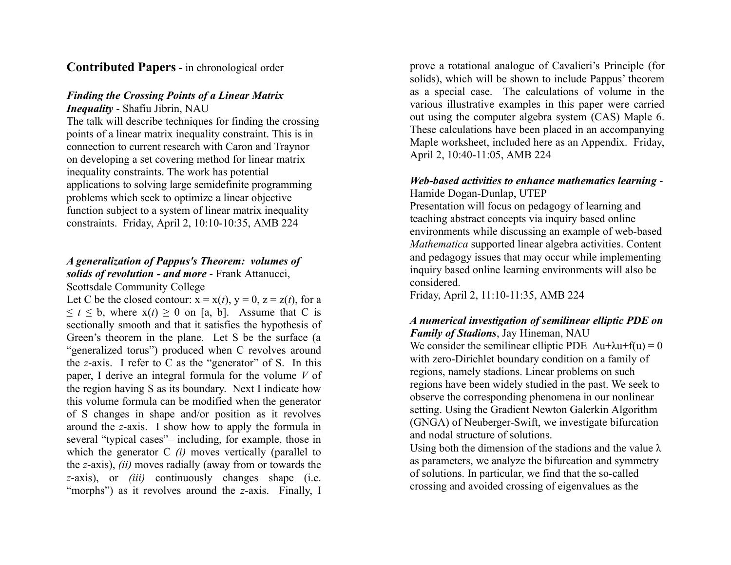### **Contributed Papers -** in chronological order

#### *Finding the Crossing Points of a Linear Matrix Inequality* - Shafiu Jibrin, NAU

The talk will describe techniques for finding the crossing points of a linear matrix inequality constraint. This is in connection to current research with Caron and Traynor on developing a set covering method for linear matrix inequality constraints. The work has potential applications to solving large semidefinite programming problems which seek to optimize a linear objective function subject to a system of linear matrix inequality constraints. Friday, April 2, 10:10-10:35, AMB 224

## *A generalization of Pappus's Theorem: volumes of solids of revolution - and more* - Frank Attanucci,

Scottsdale Community College

Let C be the closed contour:  $x = x(t)$ ,  $y = 0$ ,  $z = z(t)$ , for a  $\leq t \leq b$ , where  $x(t) \geq 0$  on [a, b]. Assume that C is sectionally smooth and that it satisfies the hypothesis of Green's theorem in the plane. Let S be the surface (a "generalized torus") produced when C revolves around the *z*-axis. I refer to C as the "generator" of S. In this paper, I derive an integral formula for the volume *V* of the region having S as its boundary. Next I indicate how this volume formula can be modified when the generator of S changes in shape and/or position as it revolves around the *z*-axis. I show how to apply the formula in several "typical cases"– including, for example, those in which the generator C *(i)* moves vertically (parallel to the *z*-axis), *(ii)* moves radially (away from or towards the *z*-axis), or *(iii)* continuously changes shape (i.e. "morphs") as it revolves around the *z*-axis. Finally, I

prove a rotational analogue of Cavalieri's Principle (for solids), which will be shown to include Pappus' theorem as a special case. The calculations of volume in the various illustrative examples in this paper were carried out using the computer algebra system (CAS) Maple 6. These calculations have been placed in an accompanying Maple worksheet, included here as an Appendix. Friday, April 2, 10:40-11:05, AMB 224

#### *Web-based activities to enhance mathematics learning* - Hamide Dogan-Dunlap, UTEP

Presentation will focus on pedagogy of learning and teaching abstract concepts via inquiry based online environments while discussing an example of web-based *Mathematica* supported linear algebra activities. Content and pedagogy issues that may occur while implementing inquiry based online learning environments will also be considered.

Friday, April 2, 11:10-11:35, AMB 224

#### *A numerical investigation of semilinear elliptic PDE on Family of Stadions*, Jay Hineman, NAU

We consider the semilinear elliptic PDE  $\Delta u + \lambda u + f(u) = 0$ with zero-Dirichlet boundary condition on a family of regions, namely stadions. Linear problems on such regions have been widely studied in the past. We seek to observe the corresponding phenomena in our nonlinear setting. Using the Gradient Newton Galerkin Algorithm (GNGA) of Neuberger-Swift, we investigate bifurcation and nodal structure of solutions.

Using both the dimension of the stadions and the value  $\lambda$ as parameters, we analyze the bifurcation and symmetry of solutions. In particular, we find that the so-called crossing and avoided crossing of eigenvalues as the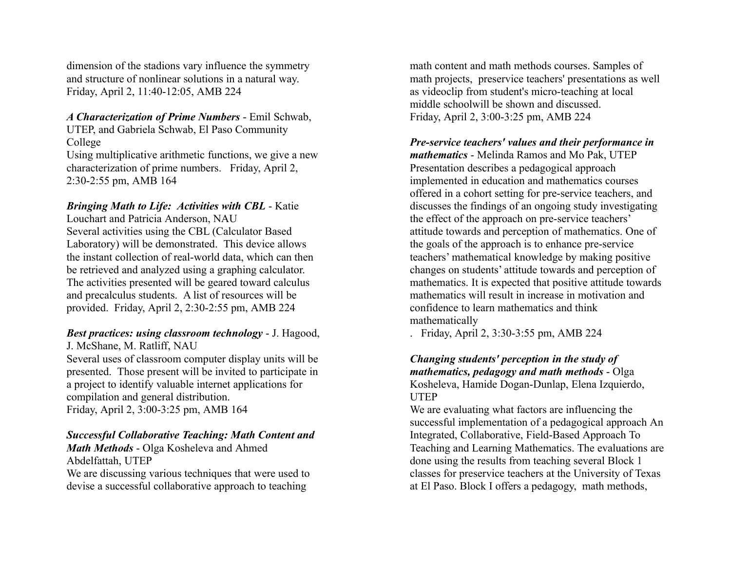dimension of the stadions vary influence the symmetry and structure of nonlinear solutions in a natural way. Friday, April 2, 11:40-12:05, AMB 224

#### *A Characterization of Prime Numbers* - Emil Schwab, UTEP, and Gabriela Schwab, El Paso Community College

Using multiplicative arithmetic functions, we give a new characterization of prime numbers. Friday, April 2, 2:30-2:55 pm, AMB 164

### *Bringing Math to Life: Activities with CBL* - Katie

Louchart and Patricia Anderson, NAU Several activities using the CBL (Calculator Based Laboratory) will be demonstrated. This device allows the instant collection of real-world data, which can then be retrieved and analyzed using a graphing calculator. The activities presented will be geared toward calculus and precalculus students. A list of resources will be provided. Friday, April 2, 2:30-2:55 pm, AMB 224

#### *Best practices: using classroom technology* - J. Hagood, J. McShane, M. Ratliff, NAU

Several uses of classroom computer display units will be presented. Those present will be invited to participate in a project to identify valuable internet applications for

compilation and general distribution. Friday, April 2, 3:00-3:25 pm, AMB 164

#### *Successful Collaborative Teaching: Math Content and*

*Math Methods* - Olga Kosheleva and Ahmed Abdelfattah, UTEP We are discussing various techniques that were used to devise a successful collaborative approach to teaching

math content and math methods courses. Samples of math projects, preservice teachers' presentations as well as videoclip from student's micro-teaching at local middle schoolwill be shown and discussed. Friday, April 2, 3:00-3:25 pm, AMB 224

#### *Pre-service teachers' values and their performance in mathematics* - Melinda Ramos and Mo Pak, UTEP Presentation describes a pedagogical approach implemented in education and mathematics courses offered in a cohort setting for pre-service teachers, and discusses the findings of an ongoing study investigating the effect of the approach on pre-service teachers' attitude towards and perception of mathematics. One of the goals of the approach is to enhance pre-service teachers' mathematical knowledge by making positive changes on students' attitude towards and perception of mathematics. It is expected that positive attitude towards mathematics will result in increase in motivation and confidence to learn mathematics and think mathematically

. Friday, April 2, 3:30-3:55 pm, AMB 224

#### *Changing students' perception in the study of mathematics, pedagogy and math methods* - Olga Kosheleva, Hamide Dogan-Dunlap, Elena Izquierdo, UTEP

We are evaluating what factors are influencing the successful implementation of a pedagogical approach An Integrated, Collaborative, Field-Based Approach To Teaching and Learning Mathematics. The evaluations are done using the results from teaching several Block 1 classes for preservice teachers at the University of Texas at El Paso. Block I offers a pedagogy, math methods,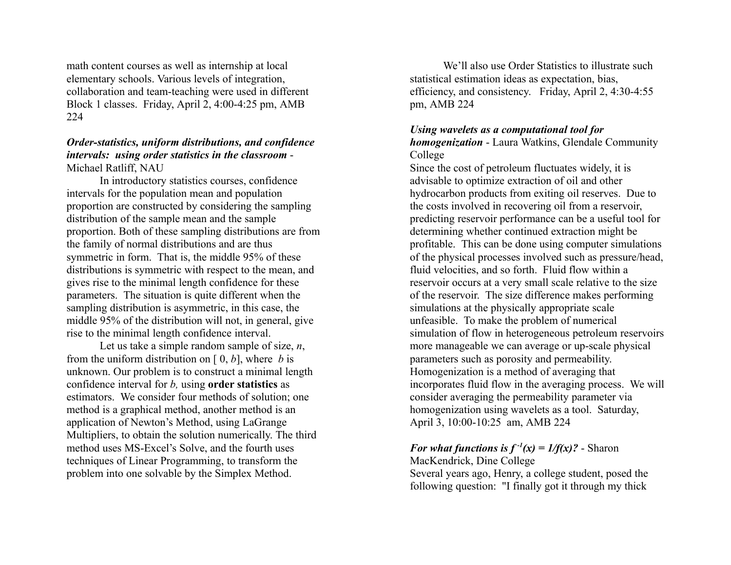math content courses as well as internship at local elementary schools. Various levels of integration, collaboration and team-teaching were used in different Block 1 classes. Friday, April 2, 4:00-4:25 pm, AMB 224

#### *Order-statistics, uniform distributions, and confidence intervals: using order statistics in the classroom* - Michael Ratliff, NAU

In introductory statistics courses, confidence intervals for the population mean and population proportion are constructed by considering the sampling distribution of the sample mean and the sample proportion. Both of these sampling distributions are from the family of normal distributions and are thus symmetric in form. That is, the middle 95% of these distributions is symmetric with respect to the mean, and gives rise to the minimal length confidence for these parameters. The situation is quite different when the sampling distribution is asymmetric, in this case, the middle 95% of the distribution will not, in general, give rise to the minimal length confidence interval.

Let us take a simple random sample of size, *n*, from the uniform distribution on [ 0, *b*], where *b* is unknown. Our problem is to construct a minimal length confidence interval for *b,* using **order statistics** as estimators. We consider four methods of solution; one method is a graphical method, another method is an application of Newton's Method, using LaGrange Multipliers, to obtain the solution numerically. The third method uses MS-Excel's Solve, and the fourth uses techniques of Linear Programming, to transform the problem into one solvable by the Simplex Method.

We'll also use Order Statistics to illustrate such statistical estimation ideas as expectation, bias, efficiency, and consistency. Friday, April 2, 4:30-4:55 pm, AMB 224

#### *Using wavelets as a computational tool for*

*homogenization* - Laura Watkins, Glendale Community College

Since the cost of petroleum fluctuates widely, it is advisable to optimize extraction of oil and other hydrocarbon products from exiting oil reserves. Due to the costs involved in recovering oil from a reservoir, predicting reservoir performance can be a useful tool for determining whether continued extraction might be profitable. This can be done using computer simulations of the physical processes involved such as pressure/head, fluid velocities, and so forth. Fluid flow within a reservoir occurs at a very small scale relative to the size of the reservoir. The size difference makes performing simulations at the physically appropriate scale unfeasible. To make the problem of numerical simulation of flow in heterogeneous petroleum reservoirs more manageable we can average or up-scale physical parameters such as porosity and permeability. Homogenization is a method of averaging that incorporates fluid flow in the averaging process. We will consider averaging the permeability parameter via homogenization using wavelets as a tool. Saturday, April 3, 10:00-10:25 am, AMB 224

#### *For what functions is*  $f^{-1}(x) = 1/f(x)$ ? - Sharon

MacKendrick, Dine College Several years ago, Henry, a college student, posed the following question: "I finally got it through my thick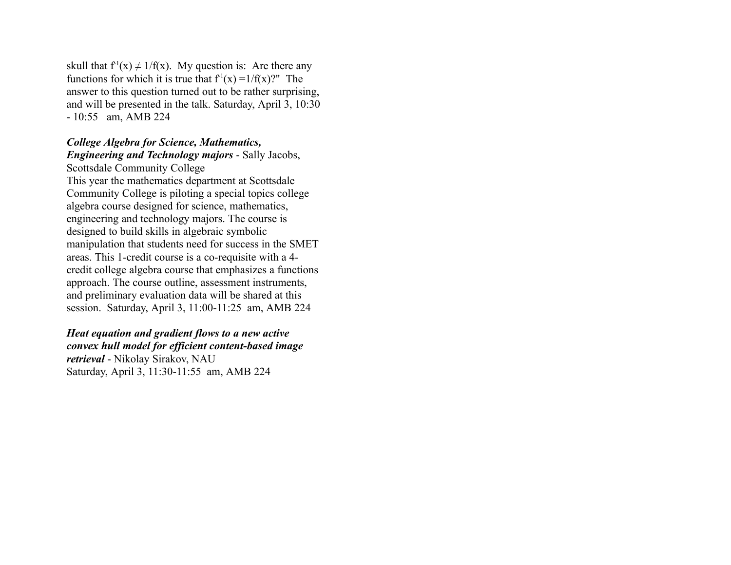skull that  $f'(x) \neq 1/f(x)$ . My question is: Are there any functions for which it is true that  $f'(x) = 1/f(x)$ ?" The answer to this question turned out to be rather surprising, and will be presented in the talk. Saturday, April 3, 10:30 - 10:55 am, AMB 224

#### *College Algebra for Science, Mathematics, Engineering and Technology majors* - Sally Jacobs,

Scottsdale Community College This year the mathematics department at Scottsdale Community College is piloting a special topics college algebra course designed for science, mathematics, engineering and technology majors. The course is designed to build skills in algebraic symbolic manipulation that students need for success in the SMET areas. This 1-credit course is a co-requisite with a 4 credit college algebra course that emphasizes a functions approach. The course outline, assessment instruments, and preliminary evaluation data will be shared at this session. Saturday, April 3, 11:00-11:25 am, AMB 224

## *Heat equation and gradient flows to a new active*

*convex hull model for efficient content-based image retrieval* - Nikolay Sirakov, NAU Saturday, April 3, 11:30-11:55 am, AMB 224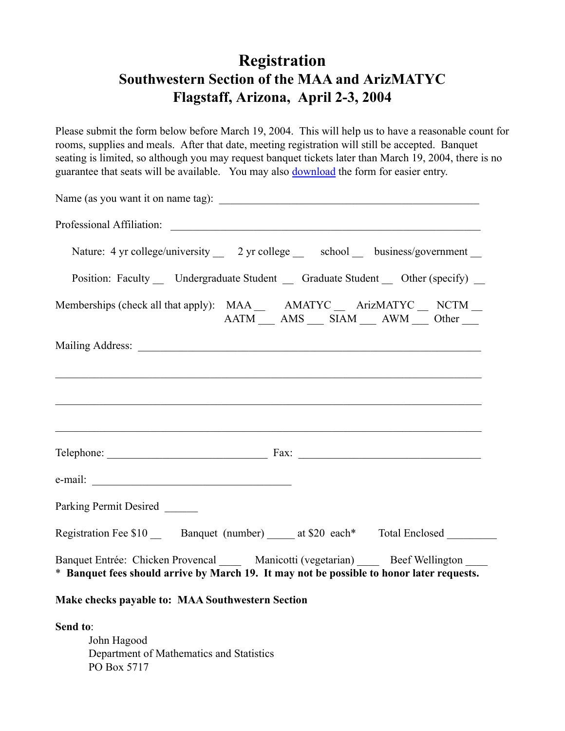## **Registration Southwestern Section of the MAA and ArizMATYC Flagstaff, Arizona, April 2-3, 2004**

Please submit the form below before March 19, 2004. This will help us to have a reasonable count for rooms, supplies and meals. After that date, meeting registration will still be accepted. Banquet seating is limited, so although you may request banquet tickets later than March 19, 2004, there is no guarantee that seats will be available. You may also download the form for easier entry.

| Nature: 4 yr college/university __ 2 yr college __ school __ business/government __                                                                                   |
|-----------------------------------------------------------------------------------------------------------------------------------------------------------------------|
| Position: Faculty Undergraduate Student Graduate Student Other (specify)                                                                                              |
| Memberships (check all that apply): MAA _____ AMATYC ____ ArizMATYC ____ NCTM ___<br>$AATM$ $\_$ $AMS$ $\_$ $SIAN$ $\_$ $AWM$ $\_$ $Other$ $\_$                       |
|                                                                                                                                                                       |
|                                                                                                                                                                       |
|                                                                                                                                                                       |
|                                                                                                                                                                       |
|                                                                                                                                                                       |
|                                                                                                                                                                       |
| Parking Permit Desired                                                                                                                                                |
| Registration Fee \$10 ______ Banquet (number) ______ at \$20 each* Total Enclosed ________                                                                            |
| Banquet Entrée: Chicken Provencal Manicotti (vegetarian) Beef Wellington<br>* Banquet fees should arrive by March 19. It may not be possible to honor later requests. |
| Make checks payable to: MAA Southwestern Section                                                                                                                      |
| Send to:<br>John Hagood<br>Department of Mathematics and Statistics<br>PO Box 5717                                                                                    |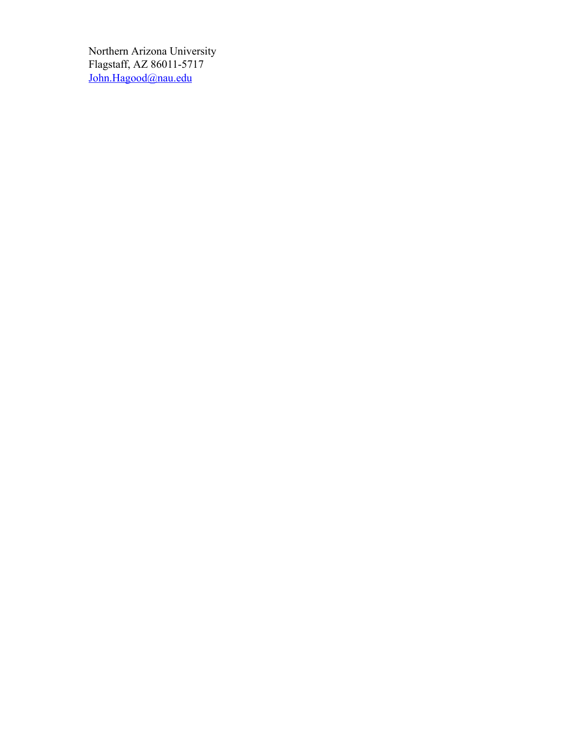Northern Arizona University Flagstaff, AZ 86011-5717 John.Hagood@nau.edu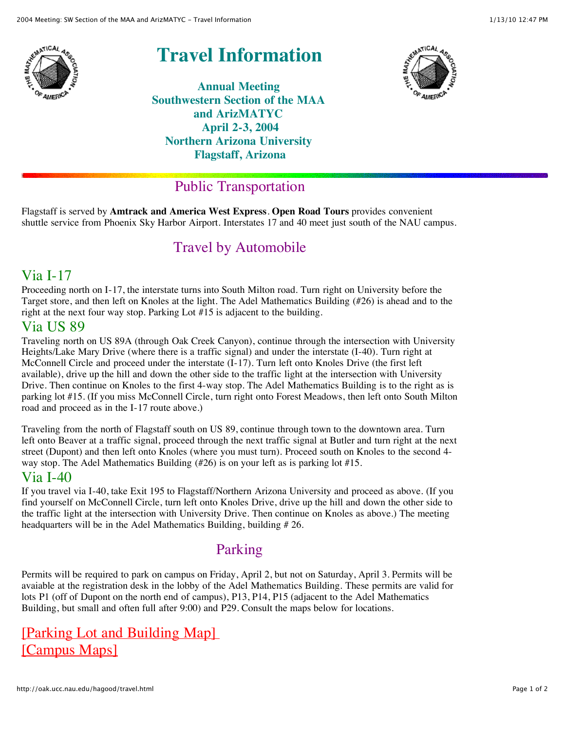

# **Travel Information**

**Annual Meeting Southwestern Section of the MAA and ArizMATYC April 2-3, 2004 Northern Arizona University Flagstaff, Arizona**



## Public Transportation

Flagstaff is served by **Amtrack and America West Express**. **Open Road Tours** provides convenient shuttle service from Phoenix Sky Harbor Airport. Interstates 17 and 40 meet just south of the NAU campus.

## Travel by Automobile

## Via I-17

Proceeding north on I-17, the interstate turns into South Milton road. Turn right on University before the Target store, and then left on Knoles at the light. The Adel Mathematics Building (#26) is ahead and to the right at the next four way stop. Parking Lot #15 is adjacent to the building.

### Via US 89

Traveling north on US 89A (through Oak Creek Canyon), continue through the intersection with University Heights/Lake Mary Drive (where there is a traffic signal) and under the interstate (I-40). Turn right at McConnell Circle and proceed under the interstate (I-17). Turn left onto Knoles Drive (the first left available), drive up the hill and down the other side to the traffic light at the intersection with University Drive. Then continue on Knoles to the first 4-way stop. The Adel Mathematics Building is to the right as is parking lot #15. (If you miss McConnell Circle, turn right onto Forest Meadows, then left onto South Milton road and proceed as in the I-17 route above.)

Traveling from the north of Flagstaff south on US 89, continue through town to the downtown area. Turn left onto Beaver at a traffic signal, proceed through the next traffic signal at Butler and turn right at the next street (Dupont) and then left onto Knoles (where you must turn). Proceed south on Knoles to the second 4 way stop. The Adel Mathematics Building (#26) is on your left as is parking lot #15.

## Via I-40

If you travel via I-40, take Exit 195 to Flagstaff/Northern Arizona University and proceed as above. (If you find yourself on McConnell Circle, turn left onto Knoles Drive, drive up the hill and down the other side to the traffic light at the intersection with University Drive. Then continue on Knoles as above.) The meeting headquarters will be in the Adel Mathematics Building, building #26.

## Parking

Permits will be required to park on campus on Friday, April 2, but not on Saturday, April 3. Permits will be avaiable at the registration desk in the lobby of the Adel Mathematics Building. These permits are valid for lots P1 (off of Dupont on the north end of campus), P13, P14, P15 (adjacent to the Adel Mathematics Building, but small and often full after 9:00) and P29. Consult the maps below for locations.

## [Parking Lot and Building Map] [\[Campus Maps\]](http://www.nau.edu/web/maps.shtml)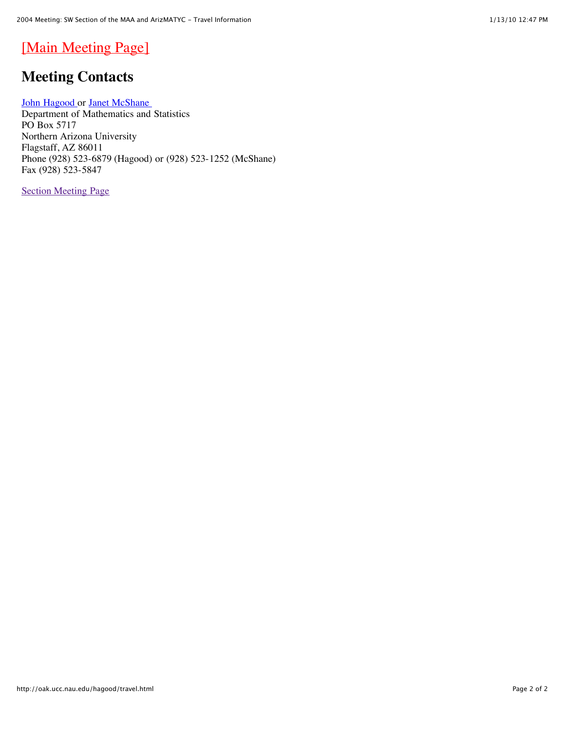## [\[Main Meeting Page\]](http://oak.ucc.nau.edu/hagood/maa2004.html)

## **Meeting Contacts**

[John Hagood](mailto:John.Hagood@nau.edu) or Janet McShane Department of Mathematics and Statistics PO Box 5717 Northern Arizona University Flagstaff, AZ 86011 Phone (928) 523-6879 (Hagood) or (928) 523-1252 (McShane) Fax (928) 523-5847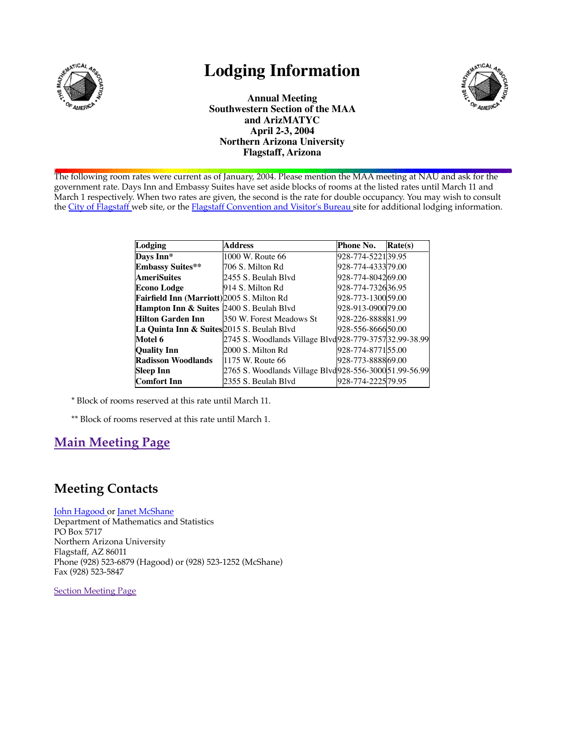

## **Lodging Information**



**Annual Meeting Southwestern Section of the MAA and ArizMATYC April 2-3, 2004 Northern Arizona University Flagstaff, Arizona**

The following room rates were current as of January, 2004. Please mention the MAA meeting at NAU and ask for the government rate. Days Inn and Embassy Suites have set aside blocks of rooms at the listed rates until March 11 and March 1 respectively. When two rates are given, the second is the rate for double occupancy. You may wish to consult the City of Flagstaff web site, or the Flagstaff Convention and Visitor's Bureau site for additional lodging information.

| Lodging                                    | <b>Address</b>                                        | Phone No.         | Rate(s) |
|--------------------------------------------|-------------------------------------------------------|-------------------|---------|
| Days Inn*                                  | 1000 W. Route 66                                      | 928-774-522139.95 |         |
| <b>Embassy Suites**</b>                    | 706 S. Milton Rd                                      | 928-774-433379.00 |         |
| <b>AmeriSuites</b>                         | 2455 S. Beulah Blvd                                   | 928-774-804269.00 |         |
| Econo Lodge                                | 914 S. Milton Rd                                      | 928-774-732636.95 |         |
| Fairfield Inn (Marriott) 2005 S. Milton Rd |                                                       | 928-773-130059.00 |         |
| Hampton Inn & Suites 2400 S. Beulah Blvd   |                                                       | 928-913-090079.00 |         |
| <b>Hilton Garden Inn</b>                   | 350 W. Forest Meadows St                              | 928-226-888881.99 |         |
| La Quinta Inn & Suites 2015 S. Beulah Blvd |                                                       | 928-556-866650.00 |         |
| Motel 6                                    | 2745 S. Woodlands Village Blvd928-779-375732.99-38.99 |                   |         |
| <b>Quality Inn</b>                         | 2000 S. Milton Rd                                     | 928-774-877155.00 |         |
| <b>Radisson Woodlands</b>                  | 1175 W. Route 66                                      | 928-773-888869.00 |         |
| <b>Sleep Inn</b>                           | 2765 S. Woodlands Village Blvd928-556-300051.99-56.99 |                   |         |
| Comfort Inn                                | 2355 S. Beulah Blvd                                   | 928-774-222579.95 |         |

\* Block of rooms reserved at this rate until March 11.

\*\* Block of rooms reserved at this rate until March 1.

## **Main Meeting Page**

### **Meeting Contacts**

#### John Hagood or Janet McShane

Department of Mathematics and Statistics PO Box 5717 Northern Arizona University Flagstaff, AZ 86011 Phone (928) 523-6879 (Hagood) or (928) 523-1252 (McShane) Fax (928) 523-5847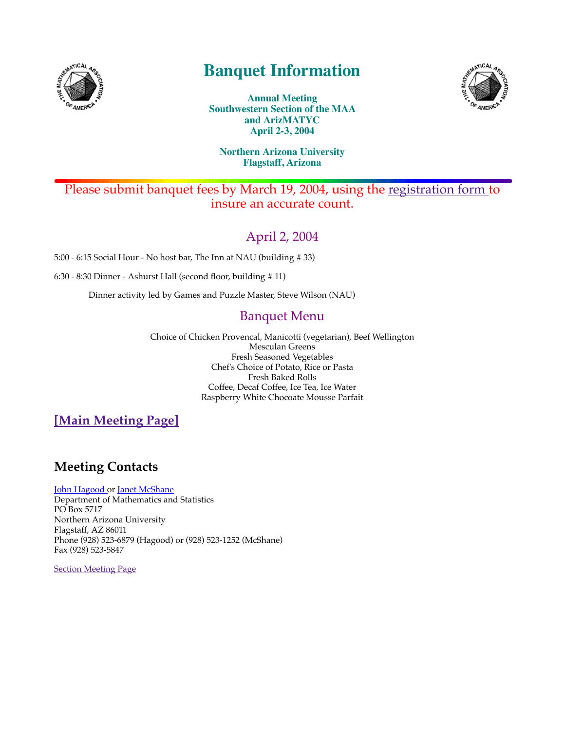

## **Banquet Information**



**Annual Meeting Southwestern Section of the MAA and ArizMATYC April 2-3, 2004**

#### **Northern Arizona University Flagstaff, Arizona**

### Please submit banquet fees by March 19, 2004, using the registration form to insure an accurate count.

## April 2, 2004

5:00 - 6:15 Social Hour - No host bar, The Inn at NAU (building # 33)

6:30 - 8:30 Dinner - Ashurst Hall (second floor, building # 11)

Dinner activity led by Games and Puzzle Master, Steve Wilson (NAU)

## Banquet Menu

Choice of Chicken Provencal, Manicotti (vegetarian), Beef Wellington Mesculan Greens Fresh Seasoned Vegetables Chef's Choice of Potato, Rice or Pasta Fresh Baked Rolls Coffee, Decaf Coffee, Ice Tea, Ice Water Raspberry White Chocoate Mousse Parfait

**[Main Meeting Page]**

## **Meeting Contacts**

John Hagood or Janet McShane

Department of Mathematics and Statistics PO Box 5717 Northern Arizona University Flagstaff, AZ 86011 Phone (928) 523-6879 (Hagood) or (928) 523-1252 (McShane) Fax (928) 523-5847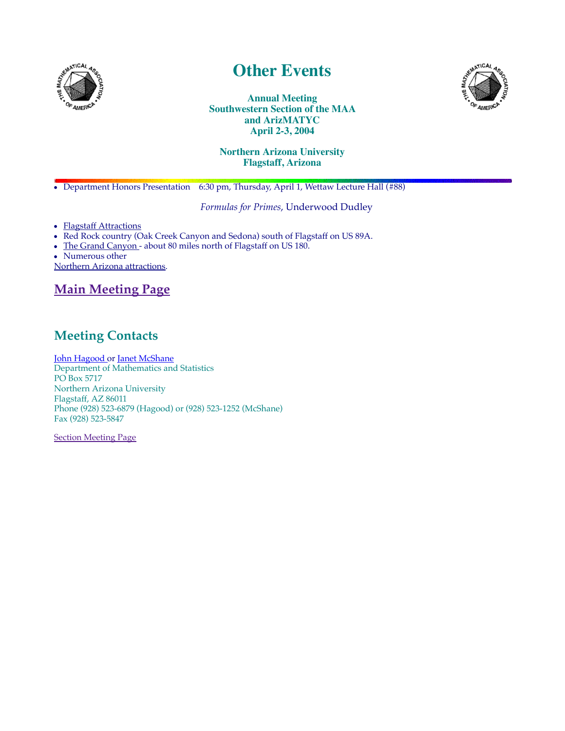

## **Other Events**



**Annual Meeting Southwestern Section of the MAA and ArizMATYC April 2-3, 2004**

#### **Northern Arizona University Flagstaff, Arizona**

Department Honors Presentation 6:30 pm, Thursday, April 1, Wettaw Lecture Hall (#88)

*Formulas for Primes*, Underwood Dudley

- Flagstaff Attractions
- Red Rock country (Oak Creek Canyon and Sedona) south of Flagstaff on US 89A.
- The Grand Canyon about 80 miles north of Flagstaff on US 180.
- Numerous other

Northern Arizona attractions.

## **Main Meeting Page**

## **Meeting Contacts**

John Hagood or Janet McShane Department of Mathematics and Statistics PO Box 5717 Northern Arizona University Flagstaff, AZ 86011 Phone (928) 523-6879 (Hagood) or (928) 523-1252 (McShane) Fax (928) 523-5847